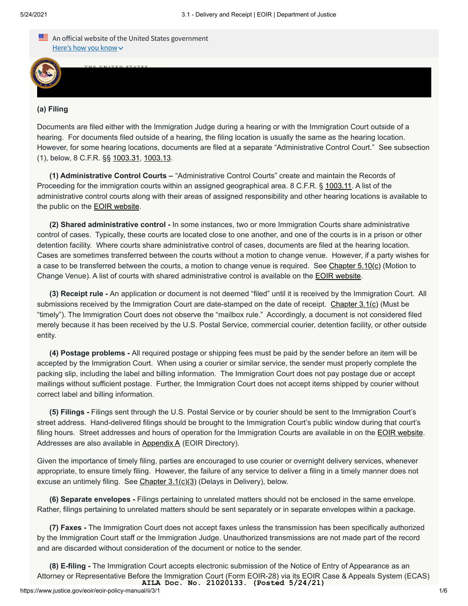

[3.1 - DELIVERY AND RECEIP](https://www.justice.gov/)T

## **(a) Filing**

Documents are filed either with the Immigration Judge during a hearing or with the Immigration Court outside of a hearing. For documents filed outside of a hearing, the filing location is usually the same as the hearing location. However, for some hearing locations, documents are filed at a separate "Administrative Control Court." See subsection (1), below, 8 C.F.R. §§ [1003.31,](https://www.ecfr.gov/cgi-bin/retrieveECFR?gp=&SID=acc63c1243f389a1c5813aeb713e1950&mc=true&n=pt8.1.1003&r=PART&ty=HTML#se8.1.1003_131) [1003.13](https://www.ecfr.gov/cgi-bin/retrieveECFR?gp=&SID=acc63c1243f389a1c5813aeb713e1950&mc=true&n=pt8.1.1003&r=PART&ty=HTML#se8.1.1003_113).

**(1) Administrative Control Courts –** "Administrative Control Courts" create and maintain the Records of Proceeding for the immigration courts within an assigned geographical area. 8 C.F.R. § [1003.11](https://www.ecfr.gov/cgi-bin/retrieveECFR?gp=&SID=acc63c1243f389a1c5813aeb713e1950&mc=true&n=pt8.1.1003&r=PART&ty=HTML#se8.1.1003_111). A list of the administrative control courts along with their areas of assigned responsibility and other hearing locations is available to the public on the **EOIR** website.

**(2) Shared administrative control -** In some instances, two or more Immigration Courts share administrative control of cases. Typically, these courts are located close to one another, and one of the courts is in a prison or other detention facility. Where courts share administrative control of cases, documents are filed at the hearing location. Cases are sometimes transferred between the courts without a motion to change venue. However, if a party wishes for a case to be transferred between the courts, a motion to change venue is required. See [Chapter 5.10\(c\)](https://www.justice.gov/eoir/eoir-policy-manual/5/10) (Motion to Change Venue). A list of courts with shared administrative control is available on the [EOIR website](https://www.justice.gov/eoir/immigration-court-administrative-control-list).

**(3) Receipt rule -** An application or document is not deemed "filed" until it is received by the Immigration Court. All submissions received by the Immigration Court are date-stamped on the date of receipt. Chapter  $3.1(c)$  (Must be "timely"). The Immigration Court does not observe the "mailbox rule." Accordingly, a document is not considered filed merely because it has been received by the U.S. Postal Service, commercial courier, detention facility, or other outside entity.

**(4) Postage problems -** All required postage or shipping fees must be paid by the sender before an item will be accepted by the Immigration Court. When using a courier or similar service, the sender must properly complete the packing slip, including the label and billing information. The Immigration Court does not pay postage due or accept mailings without sufficient postage. Further, the Immigration Court does not accept items shipped by courier without correct label and billing information.

**(5) Filings -** Filings sent through the U.S. Postal Service or by courier should be sent to the Immigration Court's street address. Hand-delivered filings should be brought to the Immigration Court's public window during that court's filing hours. Street addresses and hours of operation for the Immigration Courts are available in on the **[EOIR website](https://www.justice.gov/eoir/eoir-immigration-court-listing)**. Addresses are also available in [Appendix A](https://www.justice.gov/eoir/eoir-policy-manual/VIIII/A) (EOIR Directory).

Given the importance of timely filing, parties are encouraged to use courier or overnight delivery services, whenever appropriate, to ensure timely filing. However, the failure of any service to deliver a filing in a timely manner does not excuse an untimely filing. See Chapter  $3.1(c)(3)$  (Delays in Delivery), below.

**(6) Separate envelopes -** Filings pertaining to unrelated matters should not be enclosed in the same envelope. Rather, filings pertaining to unrelated matters should be sent separately or in separate envelopes within a package.

**(7) Faxes -** The Immigration Court does not accept faxes unless the transmission has been specifically authorized by the Immigration Court staff or the Immigration Judge. Unauthorized transmissions are not made part of the record and are discarded without consideration of the document or notice to the sender.

**(8) E-filing -** The Immigration Court accepts electronic submission of the Notice of Entry of Appearance as an Attorney or Representative Before the Immigration Court (Form EOIR-28) via its EOIR Case & Appeals System (ECAS) **AILA Doc. No. 21020133. (Posted 5/24/21)**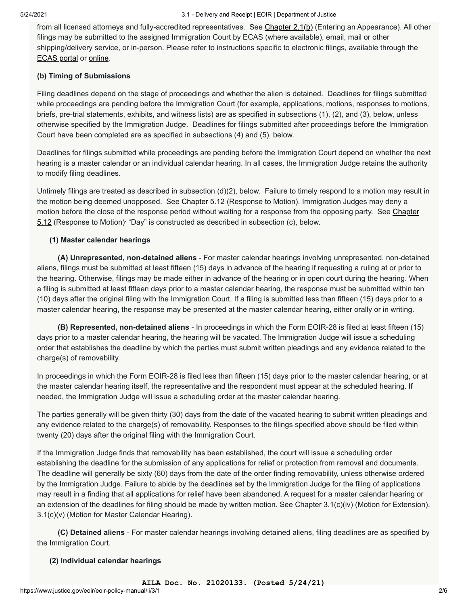from all licensed attorneys and fully-accredited representatives. See [Chapter 2.1\(b\)](https://www.justice.gov/eoir/eoir-policy-manual/2/1) (Entering an Appearance). All other filings may be submitted to the assigned Immigration Court by ECAS (where available), email, mail or other shipping/delivery service, or in-person. Please refer to instructions specific to electronic filings, available through the [ECAS portal](https://www.justice.gov/eoir/ECAS) or [online](https://www.justice.gov/eoir/filing-emai).

# **(b) Timing of Submissions**

Filing deadlines depend on the stage of proceedings and whether the alien is detained. Deadlines for filings submitted while proceedings are pending before the Immigration Court (for example, applications, motions, responses to motions, briefs, pre-trial statements, exhibits, and witness lists) are as specified in subsections (1), (2), and (3), below, unless otherwise specified by the Immigration Judge. Deadlines for filings submitted after proceedings before the Immigration Court have been completed are as specified in subsections (4) and (5), below.

Deadlines for filings submitted while proceedings are pending before the Immigration Court depend on whether the next hearing is a master calendar or an individual calendar hearing. In all cases, the Immigration Judge retains the authority to modify filing deadlines.

Untimely filings are treated as described in subsection (d)(2), below. Failure to timely respond to a motion may result in the motion being deemed unopposed. See [Chapter 5.12](https://www.justice.gov/eoir/eoir-policy-manual/5/12) (Response to Motion). Immigration Judges may deny a [motion before the close of the response period without waiting for a response from the opposing party. See Chapter](https://www.justice.gov/eoir/eoir-policy-manual/5/12) 5.12 (Response to Motion) "Day" is constructed as described in subsection (c), below.

# **(1) Master calendar hearings**

 **(A) Unrepresented, non-detained aliens** - For master calendar hearings involving unrepresented, non-detained aliens, filings must be submitted at least fifteen (15) days in advance of the hearing if requesting a ruling at or prior to the hearing. Otherwise, filings may be made either in advance of the hearing or in open court during the hearing. When a filing is submitted at least fifteen days prior to a master calendar hearing, the response must be submitted within ten (10) days after the original filing with the Immigration Court. If a filing is submitted less than fifteen (15) days prior to a master calendar hearing, the response may be presented at the master calendar hearing, either orally or in writing.

 **(B) Represented, non-detained aliens** - In proceedings in which the Form EOIR-28 is filed at least fifteen (15) days prior to a master calendar hearing, the hearing will be vacated. The Immigration Judge will issue a scheduling order that establishes the deadline by which the parties must submit written pleadings and any evidence related to the charge(s) of removability.

In proceedings in which the Form EOIR-28 is filed less than fifteen (15) days prior to the master calendar hearing, or at the master calendar hearing itself, the representative and the respondent must appear at the scheduled hearing. If needed, the Immigration Judge will issue a scheduling order at the master calendar hearing.

The parties generally will be given thirty (30) days from the date of the vacated hearing to submit written pleadings and any evidence related to the charge(s) of removability. Responses to the filings specified above should be filed within twenty (20) days after the original filing with the Immigration Court.

If the Immigration Judge finds that removability has been established, the court will issue a scheduling order establishing the deadline for the submission of any applications for relief or protection from removal and documents. The deadline will generally be sixty (60) days from the date of the order finding removability, unless otherwise ordered by the Immigration Judge. Failure to abide by the deadlines set by the Immigration Judge for the filing of applications may result in a finding that all applications for relief have been abandoned. A request for a master calendar hearing or an extension of the deadlines for filing should be made by written motion. See Chapter 3.1(c)(iv) (Motion for Extension), 3.1(c)(v) (Motion for Master Calendar Hearing).

 **(C) Detained aliens** - For master calendar hearings involving detained aliens, filing deadlines are as specified by the Immigration Court.

## **(2) Individual calendar hearings**

**AILA Doc. No. 21020133. (Posted 5/24/21)**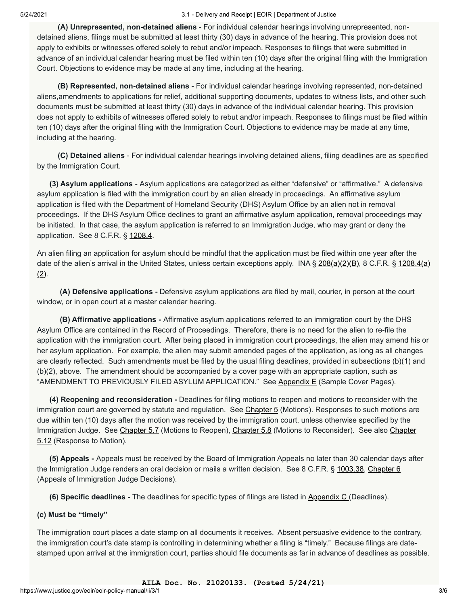#### 5/24/2021 3.1 - Delivery and Receipt | EOIR | Department of Justice

 **(A) Unrepresented, non-detained aliens** - For individual calendar hearings involving unrepresented, nondetained aliens, filings must be submitted at least thirty (30) days in advance of the hearing. This provision does not apply to exhibits or witnesses offered solely to rebut and/or impeach. Responses to filings that were submitted in advance of an individual calendar hearing must be filed within ten (10) days after the original filing with the Immigration Court. Objections to evidence may be made at any time, including at the hearing.

 **(B) Represented, non-detained aliens** - For individual calendar hearings involving represented, non-detained aliens,amendments to applications for relief, additional supporting documents, updates to witness lists, and other such documents must be submitted at least thirty (30) days in advance of the individual calendar hearing. This provision does not apply to exhibits of witnesses offered solely to rebut and/or impeach. Responses to filings must be filed within ten (10) days after the original filing with the Immigration Court. Objections to evidence may be made at any time, including at the hearing.

 **(C) Detained aliens** - For individual calendar hearings involving detained aliens, filing deadlines are as specified by the Immigration Court.

 **(3) Asylum applications -** Asylum applications are categorized as either "defensive" or "affirmative." A defensive asylum application is filed with the immigration court by an alien already in proceedings. An affirmative asylum application is filed with the Department of Homeland Security (DHS) Asylum Office by an alien not in removal proceedings. If the DHS Asylum Office declines to grant an affirmative asylum application, removal proceedings may be initiated. In that case, the asylum application is referred to an Immigration Judge, who may grant or deny the application. See 8 C.F.R. § [1208.4](https://www.ecfr.gov/cgi-bin/text-idx?SID=7a7af7d5619cd1aa5d09ddba13267fc1&mc=true&node=se8.1.1208_14&rgn=div8).

An alien filing an application for asylum should be mindful that the application must be filed within one year after the date of the alien's arrival in the United States, unless certain exceptions apply. INA  $\S 208(a)(2)(B)$  $\S 208(a)(2)(B)$ , 8 C.F.R.  $\S 1208.4(a)$  $(2)$ .

 **(A) Defensive applications -** Defensive asylum applications are filed by mail, courier, in person at the court window, or in open court at a master calendar hearing.

 **(B) Affirmative applications -** Affirmative asylum applications referred to an immigration court by the DHS Asylum Office are contained in the Record of Proceedings. Therefore, there is no need for the alien to re-file the application with the immigration court. After being placed in immigration court proceedings, the alien may amend his or her asylum application. For example, the alien may submit amended pages of the application, as long as all changes are clearly reflected. Such amendments must be filed by the usual filing deadlines, provided in subsections (b)(1) and (b)(2), above. The amendment should be accompanied by a cover page with an appropriate caption, such as "AMENDMENT TO PREVIOUSLY FILED ASYLUM APPLICATION." See [Appendix E](https://www.justice.gov/eoir/eoir-policy-manual/VIIII/e) (Sample Cover Pages).

 **(4) Reopening and reconsideration -** Deadlines for filing motions to reopen and motions to reconsider with the immigration court are governed by statute and regulation. See [Chapter 5](https://www.justice.gov/eoir/eoir-policy-manual/5) (Motions). Responses to such motions are due within ten (10) days after the motion was received by the immigration court, unless otherwise specified by the [Immigration Judge. See C](https://www.justice.gov/eoir/eoir-policy-manual/5/12)[hapter 5.](https://www.justice.gov/eoir/eoir-policy-manual/5/7)[7 \(Motions to Reopen\),](https://www.justice.gov/eoir/eoir-policy-manual/5/12) [Chapter 5.](https://www.justice.gov/eoir/eoir-policy-manual/5/8)[8 \(Motions to Reconsider\). See also Chapter](https://www.justice.gov/eoir/eoir-policy-manual/5/12) 5.12 (Response to Motion).

 **(5) Appeals -** Appeals must be received by the Board of Immigration Appeals no later than 30 calendar days after the Immigration Judge renders an oral decision or mails a written decision. See 8 C.F.R. § [1003.38](https://www.ecfr.gov/cgi-bin/retrieveECFR?gp=&SID=acc63c1243f389a1c5813aeb713e1950&mc=true&n=pt8.1.1003&r=PART&ty=HTML#se8.1.1003_138), [Chapter 6](https://intranet.eoir.usdoj.gov/node/1404846) (Appeals of Immigration Judge Decisions).

**(6) Specific deadlines -** The deadlines for specific types of filings are listed in [Appendix C](https://www.justice.gov/eoir/eoir-policy-manual/VIIII/C) (Deadlines).

## **(c) Must be "timely"**

The immigration court places a date stamp on all documents it receives. Absent persuasive evidence to the contrary, the immigration court's date stamp is controlling in determining whether a filing is "timely." Because filings are datestamped upon arrival at the immigration court, parties should file documents as far in advance of deadlines as possible.

**AILA Doc. No. 21020133. (Posted 5/24/21)**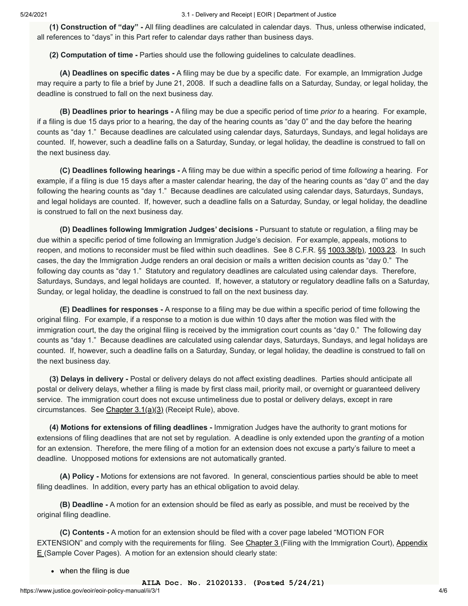5/24/2021 3.1 - Delivery and Receipt | EOIR | Department of Justice

 **(1) Construction of "day" -** All filing deadlines are calculated in calendar days. Thus, unless otherwise indicated, all references to "days" in this Part refer to calendar days rather than business days.

 **(2) Computation of time -** Parties should use the following guidelines to calculate deadlines.

 **(A) Deadlines on specific dates -** A filing may be due by a specific date. For example, an Immigration Judge may require a party to file a brief by June 21, 2008. If such a deadline falls on a Saturday, Sunday, or legal holiday, the deadline is construed to fall on the next business day.

 **(B) Deadlines prior to hearings -** A filing may be due a specific period of time *prior to* a hearing. For example, if a filing is due 15 days prior to a hearing, the day of the hearing counts as "day 0" and the day before the hearing counts as "day 1." Because deadlines are calculated using calendar days, Saturdays, Sundays, and legal holidays are counted. If, however, such a deadline falls on a Saturday, Sunday, or legal holiday, the deadline is construed to fall on the next business day.

 **(C) Deadlines following hearings -** A filing may be due within a specific period of time *following* a hearing. For example, if a filing is due 15 days after a master calendar hearing, the day of the hearing counts as "day 0" and the day following the hearing counts as "day 1." Because deadlines are calculated using calendar days, Saturdays, Sundays, and legal holidays are counted. If, however, such a deadline falls on a Saturday, Sunday, or legal holiday, the deadline is construed to fall on the next business day.

 **(D) Deadlines following Immigration Judges' decisions -** Pursuant to statute or regulation, a filing may be due within a specific period of time following an Immigration Judge's decision. For example, appeals, motions to reopen, and motions to reconsider must be filed within such deadlines. See 8 C.F.R. §§ [1003.38\(b\),](https://www.ecfr.gov/cgi-bin/retrieveECFR?gp=&SID=acc63c1243f389a1c5813aeb713e1950&mc=true&n=pt8.1.1003&r=PART&ty=HTML#se8.1.1003_138) [1003.23](https://www.ecfr.gov/cgi-bin/retrieveECFR?gp=&SID=acc63c1243f389a1c5813aeb713e1950&mc=true&n=pt8.1.1003&r=PART&ty=HTML#se8.1.1003_123). In such cases, the day the Immigration Judge renders an oral decision or mails a written decision counts as "day 0." The following day counts as "day 1." Statutory and regulatory deadlines are calculated using calendar days. Therefore, Saturdays, Sundays, and legal holidays are counted. If, however, a statutory or regulatory deadline falls on a Saturday, Sunday, or legal holiday, the deadline is construed to fall on the next business day.

 **(E) Deadlines for responses -** A response to a filing may be due within a specific period of time following the original filing. For example, if a response to a motion is due within 10 days after the motion was filed with the immigration court, the day the original filing is received by the immigration court counts as "day 0." The following day counts as "day 1." Because deadlines are calculated using calendar days, Saturdays, Sundays, and legal holidays are counted. If, however, such a deadline falls on a Saturday, Sunday, or legal holiday, the deadline is construed to fall on the next business day.

 **(3) Delays in delivery -** Postal or delivery delays do not affect existing deadlines. Parties should anticipate all postal or delivery delays, whether a filing is made by first class mail, priority mail, or overnight or guaranteed delivery service. The immigration court does not excuse untimeliness due to postal or delivery delays, except in rare circumstances. See Chapter  $3.1(a)(3)$  (Receipt Rule), above.

 **(4) Motions for extensions of filing deadlines -** Immigration Judges have the authority to grant motions for extensions of filing deadlines that are not set by regulation. A deadline is only extended upon the *granting* of a motion for an extension. Therefore, the mere filing of a motion for an extension does not excuse a party's failure to meet a deadline. Unopposed motions for extensions are not automatically granted.

 **(A) Policy -** Motions for extensions are not favored. In general, conscientious parties should be able to meet filing deadlines. In addition, every party has an ethical obligation to avoid delay.

 **(B) Deadline -** A motion for an extension should be filed as early as possible, and must be received by the original filing deadline.

 **(C) Contents -** A motion for an extension should be filed with a cover page labeled "MOTION FOR [EXTENSION" and comply with the requirements for filing. See C](https://www.justice.gov/eoir/eoir-policy-manual/VIIII/e)[hapter 3](https://www.justice.gov/eoir/eoir-policy-manual/3) [\(Filing with the Immigration Court\), Appendix](https://www.justice.gov/eoir/eoir-policy-manual/VIIII/e)  $E$  (Sample Cover Pages). A motion for an extension should clearly state:

• when the filing is due

**AILA Doc. No. 21020133. (Posted 5/24/21)**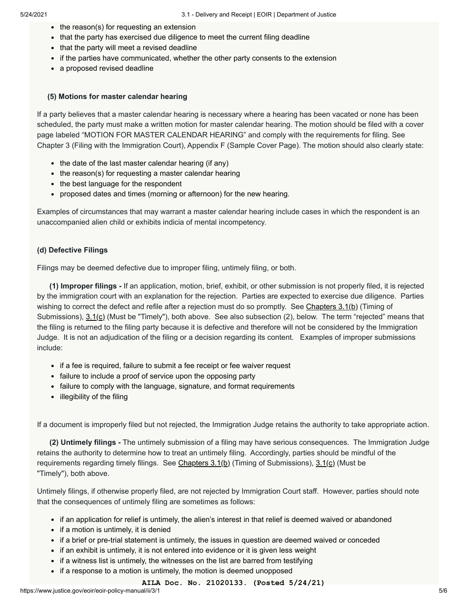- $\bullet$  the reason(s) for requesting an extension
- that the party has exercised due diligence to meet the current filing deadline
- that the party will meet a revised deadline
- if the parties have communicated, whether the other party consents to the extension
- a proposed revised deadline

## **(5) Motions for master calendar hearing**

If a party believes that a master calendar hearing is necessary where a hearing has been vacated or none has been scheduled, the party must make a written motion for master calendar hearing. The motion should be filed with a cover page labeled "MOTION FOR MASTER CALENDAR HEARING" and comply with the requirements for filing. See Chapter 3 (Filing with the Immigration Court), Appendix F (Sample Cover Page). The motion should also clearly state:

- $\bullet$  the date of the last master calendar hearing (if any)
- the reason(s) for requesting a master calendar hearing
- the best language for the respondent
- proposed dates and times (morning or afternoon) for the new hearing.

Examples of circumstances that may warrant a master calendar hearing include cases in which the respondent is an unaccompanied alien child or exhibits indicia of mental incompetency.

# **(d) Defective Filings**

Filings may be deemed defective due to improper filing, untimely filing, or both.

 **(1) Improper filings -** If an application, motion, brief, exhibit, or other submission is not properly filed, it is rejected by the immigration court with an explanation for the rejection. Parties are expected to exercise due diligence. Parties wishing to correct the defect and refile after a rejection must do so promptly. See [Chapters 3.1\(b\)](https://www.justice.gov/eoir/eoir-policy-manual/ii/3/1) (Timing of Submissions), [3.1\(c\)](https://www.justice.gov/eoir/eoir-policy-manual/ii/3/1) (Must be "Timely"), both above. See also subsection (2), below. The term "rejected" means that the filing is returned to the filing party because it is defective and therefore will not be considered by the Immigration Judge. It is not an adjudication of the filing or a decision regarding its content. Examples of improper submissions include:

- if a fee is required, failure to submit a fee receipt or fee waiver request
- failure to include a proof of service upon the opposing party
- failure to comply with the language, signature, and format requirements
- illegibility of the filing

If a document is improperly filed but not rejected, the Immigration Judge retains the authority to take appropriate action.

 **(2) Untimely filings -** The untimely submission of a filing may have serious consequences. The Immigration Judge retains the authority to determine how to treat an untimely filing. Accordingly, parties should be mindful of the requirements regarding timely filings. See [Chapters 3.1\(b\)](https://www.justice.gov/eoir/eoir-policy-manual/ii/3/1) (Timing of Submissions), [3.1\(c\)](https://www.justice.gov/eoir/eoir-policy-manual/ii/3/1) (Must be "Timely"), both above.

Untimely filings, if otherwise properly filed, are not rejected by Immigration Court staff. However, parties should note that the consequences of untimely filing are sometimes as follows:

- if an application for relief is untimely, the alien's interest in that relief is deemed waived or abandoned
- if a motion is untimely, it is denied
- if a brief or pre-trial statement is untimely, the issues in question are deemed waived or conceded
- if an exhibit is untimely, it is not entered into evidence or it is given less weight
- if a witness list is untimely, the witnesses on the list are barred from testifying
- if a response to a motion is untimely, the motion is deemed unopposed